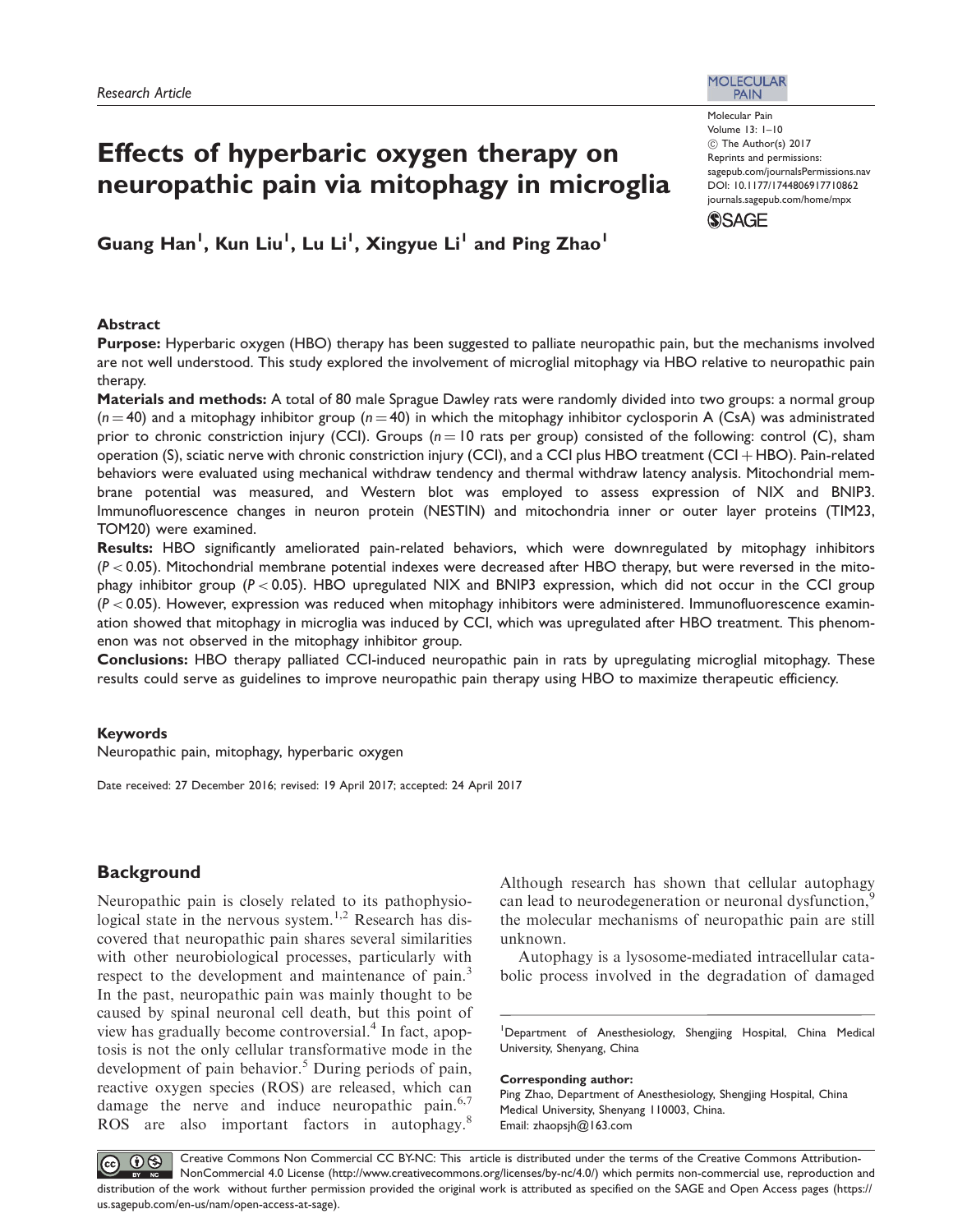

# Effects of hyperbaric oxygen therapy on neuropathic pain via mitophagy in microglia

Molecular Pain Volume 13: 1–10  $©$  The Author(s) 2017 Reprints and permissions: [sagepub.com/journalsPermissions.nav](https://us.sagepub.com/en-us/journals-permissions) DOI: [10.1177/1744806917710862](https://doi.org/10.1177/1744806917710862) <journals.sagepub.com/home/mpx>

**SSAGE** 

Guang Han<sup>1</sup>, Kun Liu<sup>1</sup>, Lu Li<sup>1</sup>, Xingyue Li<sup>1</sup> and Ping Zhao<sup>1</sup>

## Abstract

Purpose: Hyperbaric oxygen (HBO) therapy has been suggested to palliate neuropathic pain, but the mechanisms involved are not well understood. This study explored the involvement of microglial mitophagy via HBO relative to neuropathic pain therapy.

Materials and methods: A total of 80 male Sprague Dawley rats were randomly divided into two groups: a normal group  $(n = 40)$  and a mitophagy inhibitor group  $(n = 40)$  in which the mitophagy inhibitor cyclosporin A (CsA) was administrated prior to chronic constriction injury (CCI). Groups ( $n = 10$  rats per group) consisted of the following: control (C), sham operation (S), sciatic nerve with chronic constriction injury (CCI), and a CCI plus HBO treatment (CCI  $+$  HBO). Pain-related behaviors were evaluated using mechanical withdraw tendency and thermal withdraw latency analysis. Mitochondrial membrane potential was measured, and Western blot was employed to assess expression of NIX and BNIP3. Immunofluorescence changes in neuron protein (NESTIN) and mitochondria inner or outer layer proteins (TIM23, TOM20) were examined.

Results: HBO significantly ameliorated pain-related behaviors, which were downregulated by mitophagy inhibitors  $(P < 0.05)$ . Mitochondrial membrane potential indexes were decreased after HBO therapy, but were reversed in the mitophagy inhibitor group ( $P < 0.05$ ). HBO upregulated NIX and BNIP3 expression, which did not occur in the CCI group  $(P < 0.05)$ . However, expression was reduced when mitophagy inhibitors were administered. Immunofluorescence examination showed that mitophagy in microglia was induced by CCI, which was upregulated after HBO treatment. This phenomenon was not observed in the mitophagy inhibitor group.

Conclusions: HBO therapy palliated CCI-induced neuropathic pain in rats by upregulating microglial mitophagy. These results could serve as guidelines to improve neuropathic pain therapy using HBO to maximize therapeutic efficiency.

## Keywords

Neuropathic pain, mitophagy, hyperbaric oxygen

Date received: 27 December 2016; revised: 19 April 2017; accepted: 24 April 2017

# **Background**

Neuropathic pain is closely related to its pathophysiological state in the nervous system.<sup>1,2</sup> Research has discovered that neuropathic pain shares several similarities with other neurobiological processes, particularly with respect to the development and maintenance of pain.<sup>3</sup> In the past, neuropathic pain was mainly thought to be caused by spinal neuronal cell death, but this point of view has gradually become controversial.<sup>4</sup> In fact, apoptosis is not the only cellular transformative mode in the development of pain behavior.<sup>5</sup> During periods of pain, reactive oxygen species (ROS) are released, which can damage the nerve and induce neuropathic pain. $6,7$ ROS are also important factors in autophagy.<sup>8</sup>

Although research has shown that cellular autophagy can lead to neurodegeneration or neuronal dysfunction, the molecular mechanisms of neuropathic pain are still unknown.

Autophagy is a lysosome-mediated intracellular catabolic process involved in the degradation of damaged

1 Department of Anesthesiology, Shengjing Hospital, China Medical University, Shenyang, China

Corresponding author:

Ping Zhao, Department of Anesthesiology, Shengjing Hospital, China Medical University, Shenyang 110003, China. Email: zhaopsjh@163.com

Creative Commons Non Commercial CC BY-NC: This article is distributed under the terms of the Creative Commons Attribution- $0$ NonCommercial 4.0 License (http://www.creativecommons.org/licenses/by-nc/4.0/) which permits non-commercial use, reproduction and distribution of the work without further permission provided the original work is attributed as specified on the SAGE and Open Access pages (https:// us.sagepub.com/en-us/nam/open-access-at-sage).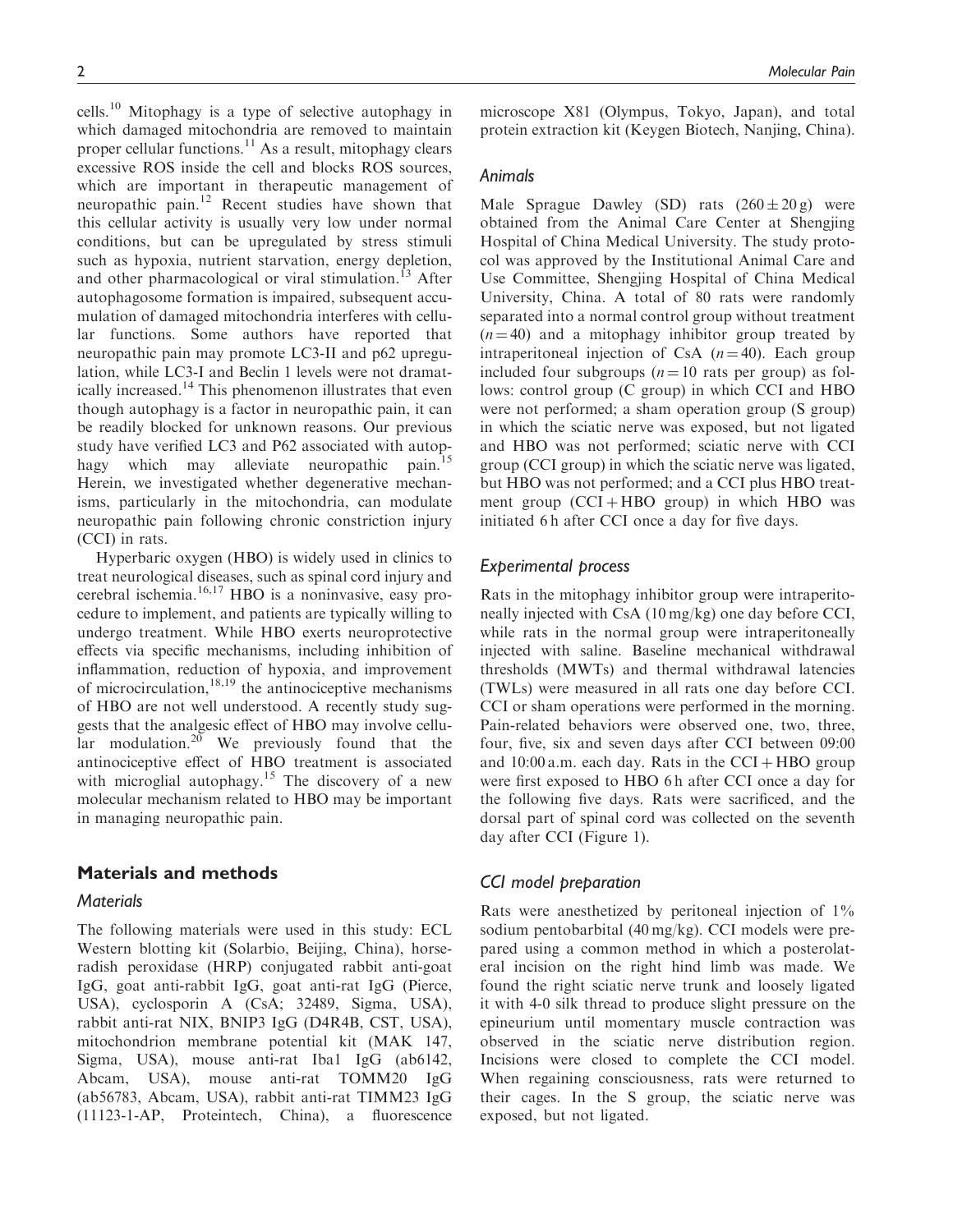cells.<sup>10</sup> Mitophagy is a type of selective autophagy in which damaged mitochondria are removed to maintain proper cellular functions.<sup>11</sup> As a result, mitophagy clears excessive ROS inside the cell and blocks ROS sources, which are important in therapeutic management of neuropathic pain.<sup>12</sup> Recent studies have shown that this cellular activity is usually very low under normal conditions, but can be upregulated by stress stimuli such as hypoxia, nutrient starvation, energy depletion, and other pharmacological or viral stimulation.<sup>13</sup> After autophagosome formation is impaired, subsequent accumulation of damaged mitochondria interferes with cellular functions. Some authors have reported that neuropathic pain may promote LC3-II and p62 upregulation, while LC3-I and Beclin 1 levels were not dramatically increased.<sup>14</sup> This phenomenon illustrates that even though autophagy is a factor in neuropathic pain, it can be readily blocked for unknown reasons. Our previous study have verified LC3 and P62 associated with autophagy which may alleviate neuropathic pain.<sup>15</sup> Herein, we investigated whether degenerative mechanisms, particularly in the mitochondria, can modulate neuropathic pain following chronic constriction injury (CCI) in rats.

Hyperbaric oxygen (HBO) is widely used in clinics to treat neurological diseases, such as spinal cord injury and cerebral ischemia. $16,17$  HBO is a noninvasive, easy procedure to implement, and patients are typically willing to undergo treatment. While HBO exerts neuroprotective effects via specific mechanisms, including inhibition of inflammation, reduction of hypoxia, and improvement of microcirculation, $18,19$  the antinociceptive mechanisms of HBO are not well understood. A recently study suggests that the analgesic effect of HBO may involve cellular modulation.<sup>20</sup> We previously found that the antinociceptive effect of HBO treatment is associated with microglial autophagy.<sup>15</sup> The discovery of a new molecular mechanism related to HBO may be important in managing neuropathic pain.

## Materials and methods

## Materials

The following materials were used in this study: ECL Western blotting kit (Solarbio, Beijing, China), horseradish peroxidase (HRP) conjugated rabbit anti-goat IgG, goat anti-rabbit IgG, goat anti-rat IgG (Pierce, USA), cyclosporin A (CsA; 32489, Sigma, USA), rabbit anti-rat NIX, BNIP3 IgG (D4R4B, CST, USA), mitochondrion membrane potential kit (MAK 147, Sigma, USA), mouse anti-rat Iba1 IgG (ab6142, Abcam, USA), mouse anti-rat TOMM20 IgG (ab56783, Abcam, USA), rabbit anti-rat TIMM23 IgG (11123-1-AP, Proteintech, China), a fluorescence

#### Animals

Male Sprague Dawley (SD) rats  $(260 \pm 20 \text{ g})$  were obtained from the Animal Care Center at Shengjing Hospital of China Medical University. The study protocol was approved by the Institutional Animal Care and Use Committee, Shengjing Hospital of China Medical University, China. A total of 80 rats were randomly separated into a normal control group without treatment  $(n = 40)$  and a mitophagy inhibitor group treated by intraperitoneal injection of CsA  $(n=40)$ . Each group included four subgroups ( $n = 10$  rats per group) as follows: control group (C group) in which CCI and HBO were not performed; a sham operation group (S group) in which the sciatic nerve was exposed, but not ligated and HBO was not performed; sciatic nerve with CCI group (CCI group) in which the sciatic nerve was ligated, but HBO was not performed; and a CCI plus HBO treatment group  $(CCI + HBO)$  group) in which HBO was initiated 6 h after CCI once a day for five days.

#### Experimental process

Rats in the mitophagy inhibitor group were intraperitoneally injected with CsA (10 mg/kg) one day before CCI, while rats in the normal group were intraperitoneally injected with saline. Baseline mechanical withdrawal thresholds (MWTs) and thermal withdrawal latencies (TWLs) were measured in all rats one day before CCI. CCI or sham operations were performed in the morning. Pain-related behaviors were observed one, two, three, four, five, six and seven days after CCI between 09:00 and 10:00 a.m. each day. Rats in the  $CCI + HBO$  group were first exposed to HBO 6h after CCI once a day for the following five days. Rats were sacrificed, and the dorsal part of spinal cord was collected on the seventh day after CCI (Figure 1).

#### CCI model preparation

Rats were anesthetized by peritoneal injection of 1% sodium pentobarbital (40 mg/kg). CCI models were prepared using a common method in which a posterolateral incision on the right hind limb was made. We found the right sciatic nerve trunk and loosely ligated it with 4-0 silk thread to produce slight pressure on the epineurium until momentary muscle contraction was observed in the sciatic nerve distribution region. Incisions were closed to complete the CCI model. When regaining consciousness, rats were returned to their cages. In the S group, the sciatic nerve was exposed, but not ligated.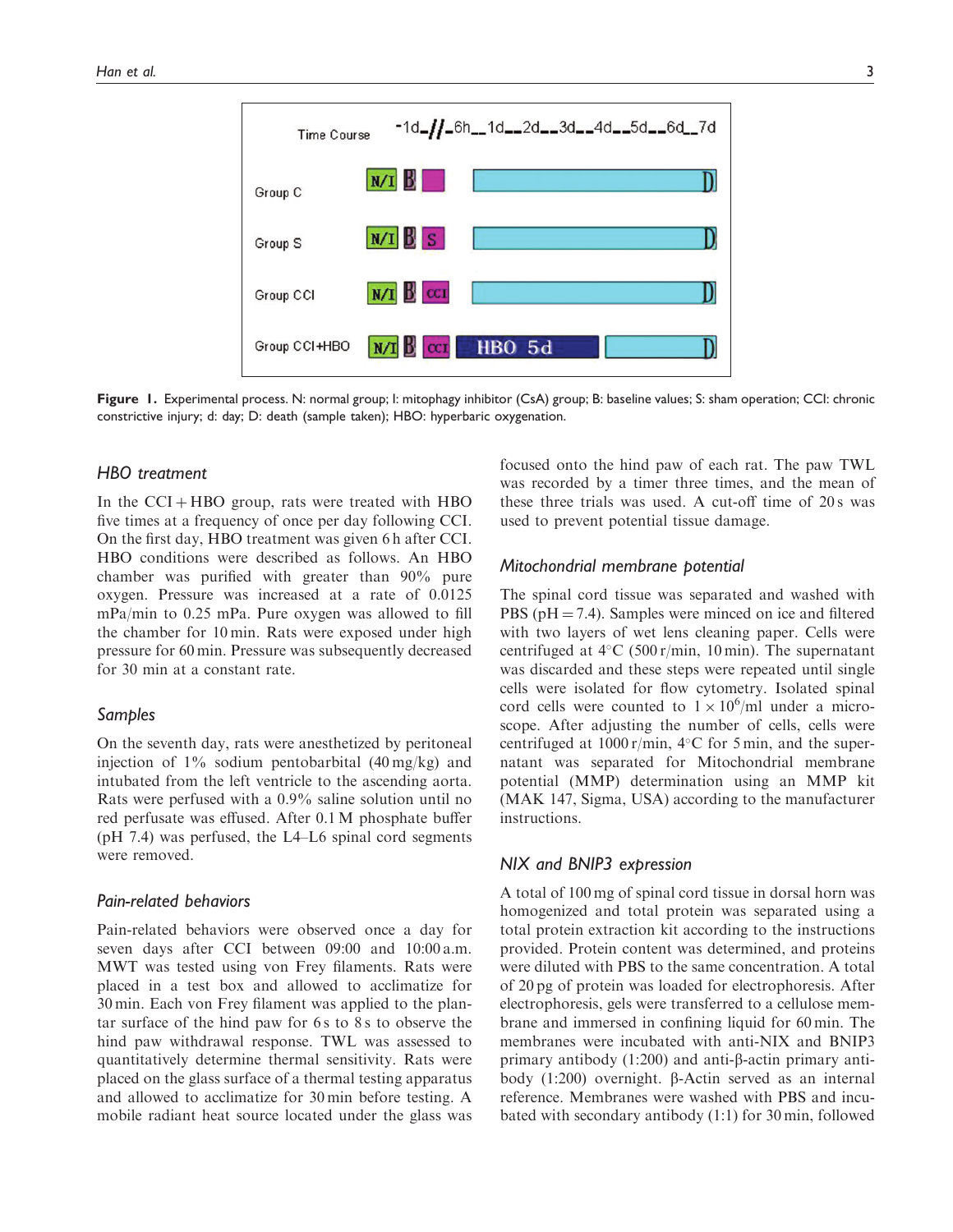

Figure 1. Experimental process. N: normal group; I: mitophagy inhibitor (CsA) group; B: baseline values; S: sham operation; CCI: chronic constrictive injury; d: day; D: death (sample taken); HBO: hyperbaric oxygenation.

## HBO treatment

In the  $\text{CCI} + \text{HBO}$  group, rats were treated with HBO five times at a frequency of once per day following CCI. On the first day, HBO treatment was given 6 h after CCI. HBO conditions were described as follows. An HBO chamber was purified with greater than 90% pure oxygen. Pressure was increased at a rate of 0.0125 mPa/min to 0.25 mPa. Pure oxygen was allowed to fill the chamber for 10 min. Rats were exposed under high pressure for 60 min. Pressure was subsequently decreased for 30 min at a constant rate.

#### Samples

On the seventh day, rats were anesthetized by peritoneal injection of  $1\%$  sodium pentobarbital  $(40 \text{ mg/kg})$  and intubated from the left ventricle to the ascending aorta. Rats were perfused with a 0.9% saline solution until no red perfusate was effused. After 0.1M phosphate buffer (pH 7.4) was perfused, the L4–L6 spinal cord segments were removed.

# Pain-related behaviors

Pain-related behaviors were observed once a day for seven days after CCI between 09:00 and 10:00 a.m. MWT was tested using von Frey filaments. Rats were placed in a test box and allowed to acclimatize for 30 min. Each von Frey filament was applied to the plantar surface of the hind paw for 6 s to 8 s to observe the hind paw withdrawal response. TWL was assessed to quantitatively determine thermal sensitivity. Rats were placed on the glass surface of a thermal testing apparatus and allowed to acclimatize for 30 min before testing. A mobile radiant heat source located under the glass was focused onto the hind paw of each rat. The paw TWL was recorded by a timer three times, and the mean of these three trials was used. A cut-off time of 20 s was used to prevent potential tissue damage.

#### Mitochondrial membrane potential

The spinal cord tissue was separated and washed with PBS ( $pH = 7.4$ ). Samples were minced on ice and filtered with two layers of wet lens cleaning paper. Cells were centrifuged at  $4^{\circ}$ C (500 r/min, 10 min). The supernatant was discarded and these steps were repeated until single cells were isolated for flow cytometry. Isolated spinal cord cells were counted to  $1 \times 10^6$ /ml under a microscope. After adjusting the number of cells, cells were centrifuged at  $1000 \text{ r/min}$ ,  $4^{\circ}$ C for 5 min, and the supernatant was separated for Mitochondrial membrane potential (MMP) determination using an MMP kit (MAK 147, Sigma, USA) according to the manufacturer instructions.

## NIX and BNIP3 expression

A total of 100 mg of spinal cord tissue in dorsal horn was homogenized and total protein was separated using a total protein extraction kit according to the instructions provided. Protein content was determined, and proteins were diluted with PBS to the same concentration. A total of 20 pg of protein was loaded for electrophoresis. After electrophoresis, gels were transferred to a cellulose membrane and immersed in confining liquid for 60 min. The membranes were incubated with anti-NIX and BNIP3 primary antibody  $(1:200)$  and anti- $\beta$ -actin primary antibody  $(1:200)$  overnight.  $\beta$ -Actin served as an internal reference. Membranes were washed with PBS and incubated with secondary antibody (1:1) for 30 min, followed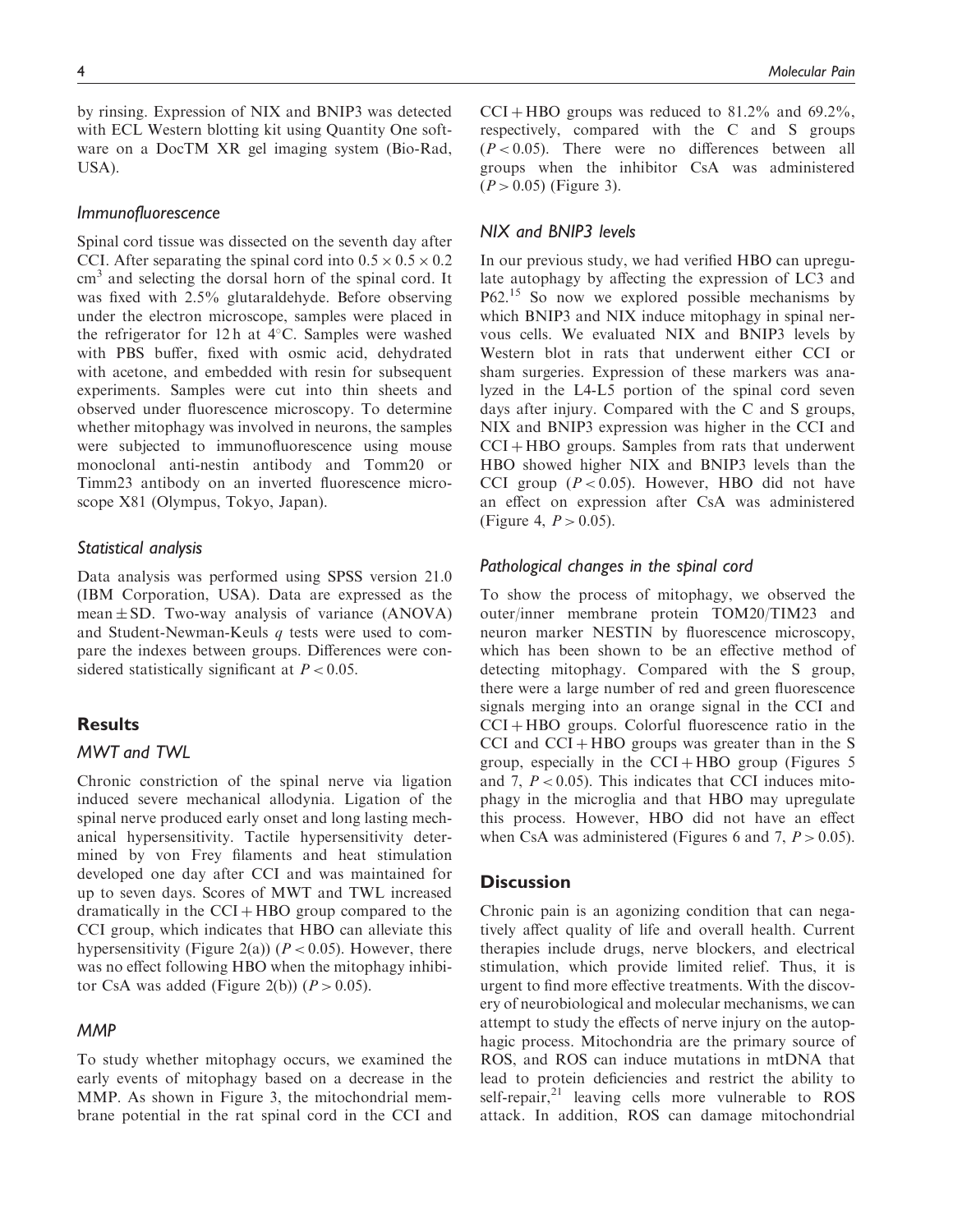by rinsing. Expression of NIX and BNIP3 was detected with ECL Western blotting kit using Quantity One software on a DocTM XR gel imaging system (Bio-Rad, USA).

#### Immunofluorescence

Spinal cord tissue was dissected on the seventh day after CCI. After separating the spinal cord into  $0.5 \times 0.5 \times 0.2$ cm<sup>3</sup> and selecting the dorsal horn of the spinal cord. It was fixed with 2.5% glutaraldehyde. Before observing under the electron microscope, samples were placed in the refrigerator for 12h at  $4^{\circ}$ C. Samples were washed with PBS buffer, fixed with osmic acid, dehydrated with acetone, and embedded with resin for subsequent experiments. Samples were cut into thin sheets and observed under fluorescence microscopy. To determine whether mitophagy was involved in neurons, the samples were subjected to immunofluorescence using mouse monoclonal anti-nestin antibody and Tomm20 or Timm23 antibody on an inverted fluorescence microscope X81 (Olympus, Tokyo, Japan).

#### Statistical analysis

Data analysis was performed using SPSS version 21.0 (IBM Corporation, USA). Data are expressed as the  $mean \pm SD$ . Two-way analysis of variance (ANOVA) and Student-Newman-Keuls  $q$  tests were used to compare the indexes between groups. Differences were considered statistically significant at  $P < 0.05$ .

## Results

## MWT and TWL

Chronic constriction of the spinal nerve via ligation induced severe mechanical allodynia. Ligation of the spinal nerve produced early onset and long lasting mechanical hypersensitivity. Tactile hypersensitivity determined by von Frey filaments and heat stimulation developed one day after CCI and was maintained for up to seven days. Scores of MWT and TWL increased dramatically in the  $CCI + HBO$  group compared to the CCI group, which indicates that HBO can alleviate this hypersensitivity (Figure 2(a)) ( $P < 0.05$ ). However, there was no effect following HBO when the mitophagy inhibitor CsA was added (Figure 2(b))  $(P > 0.05)$ .

#### MMP

To study whether mitophagy occurs, we examined the early events of mitophagy based on a decrease in the MMP. As shown in Figure 3, the mitochondrial membrane potential in the rat spinal cord in the CCI and  $CCI + HBO$  groups was reduced to 81.2% and 69.2%, respectively, compared with the C and S groups  $(P < 0.05)$ . There were no differences between all groups when the inhibitor CsA was administered  $(P > 0.05)$  (Figure 3).

## NIX and BNIP3 levels

In our previous study, we had verified HBO can upregulate autophagy by affecting the expression of LC3 and  $P62<sup>15</sup>$  So now we explored possible mechanisms by which BNIP3 and NIX induce mitophagy in spinal nervous cells. We evaluated NIX and BNIP3 levels by Western blot in rats that underwent either CCI or sham surgeries. Expression of these markers was analyzed in the L4-L5 portion of the spinal cord seven days after injury. Compared with the C and S groups, NIX and BNIP3 expression was higher in the CCI and  $CCI + HBO$  groups. Samples from rats that underwent HBO showed higher NIX and BNIP3 levels than the CCI group  $(P < 0.05)$ . However, HBO did not have an effect on expression after CsA was administered (Figure 4,  $P > 0.05$ ).

## Pathological changes in the spinal cord

To show the process of mitophagy, we observed the outer/inner membrane protein TOM20/TIM23 and neuron marker NESTIN by fluorescence microscopy, which has been shown to be an effective method of detecting mitophagy. Compared with the S group, there were a large number of red and green fluorescence signals merging into an orange signal in the CCI and  $CCI + HBO$  groups. Colorful fluorescence ratio in the CCI and  $\text{CCI} + \text{HBO}$  groups was greater than in the S group, especially in the  $CCI + HBO$  group (Figures 5) and 7,  $P < 0.05$ ). This indicates that CCI induces mitophagy in the microglia and that HBO may upregulate this process. However, HBO did not have an effect when CsA was administered (Figures 6 and 7,  $P > 0.05$ ).

## **Discussion**

Chronic pain is an agonizing condition that can negatively affect quality of life and overall health. Current therapies include drugs, nerve blockers, and electrical stimulation, which provide limited relief. Thus, it is urgent to find more effective treatments. With the discovery of neurobiological and molecular mechanisms, we can attempt to study the effects of nerve injury on the autophagic process. Mitochondria are the primary source of ROS, and ROS can induce mutations in mtDNA that lead to protein deficiencies and restrict the ability to self-repair, $^{21}$  leaving cells more vulnerable to ROS attack. In addition, ROS can damage mitochondrial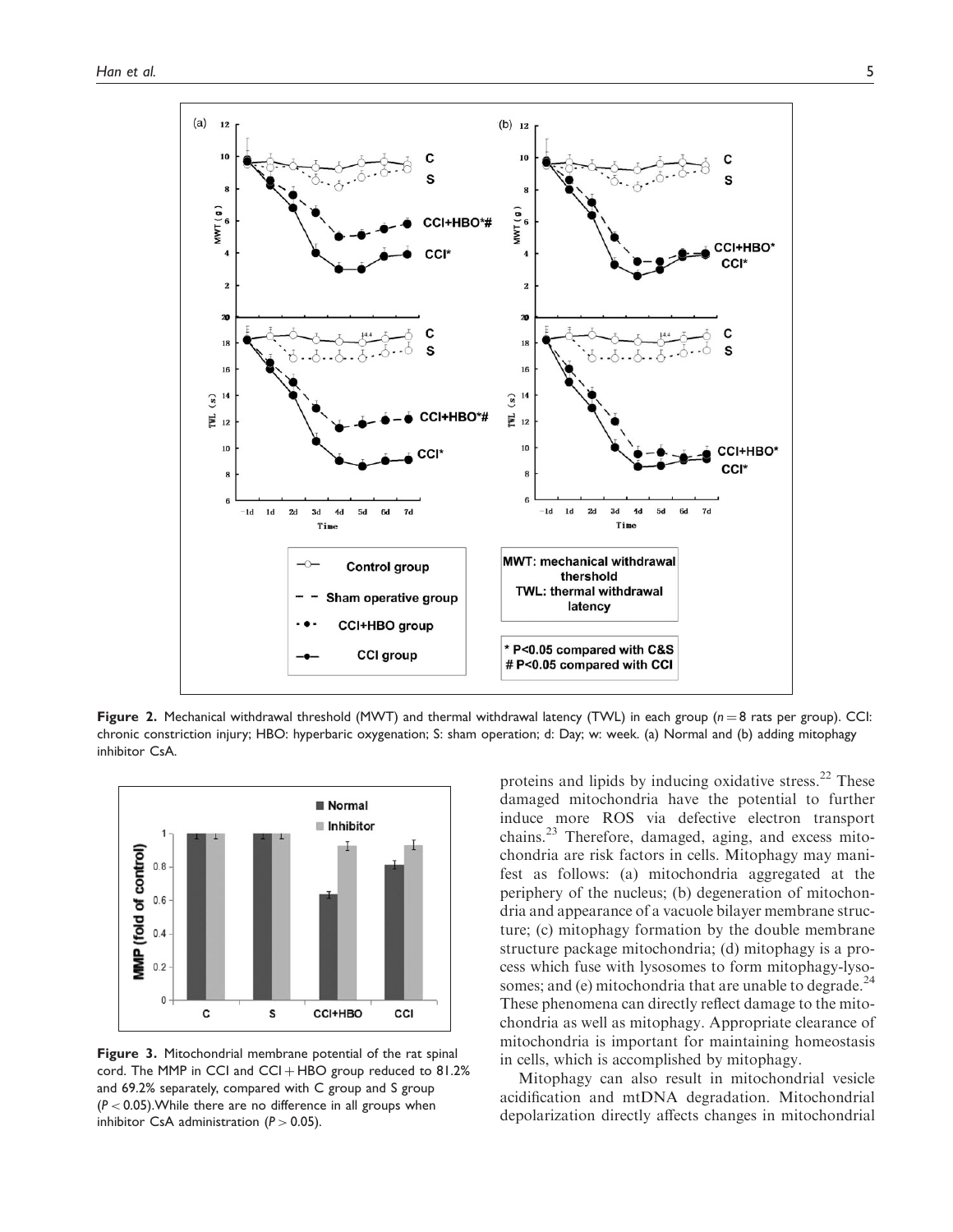

Figure 2. Mechanical withdrawal threshold (MWT) and thermal withdrawal latency (TWL) in each group ( $n = 8$  rats per group). CCI: chronic constriction injury; HBO: hyperbaric oxygenation; S: sham operation; d: Day; w: week. (a) Normal and (b) adding mitophagy inhibitor CsA.



Figure 3. Mitochondrial membrane potential of the rat spinal cord. The MMP in CCI and CCI  $+$  HBO group reduced to 81.2% and 69.2% separately, compared with C group and S group  $(P < 0.05)$ . While there are no difference in all groups when inhibitor CsA administration  $(P > 0.05)$ .

proteins and lipids by inducing oxidative stress.<sup>22</sup> These damaged mitochondria have the potential to further induce more ROS via defective electron transport chains.<sup>23</sup> Therefore, damaged, aging, and excess mitochondria are risk factors in cells. Mitophagy may manifest as follows: (a) mitochondria aggregated at the periphery of the nucleus; (b) degeneration of mitochondria and appearance of a vacuole bilayer membrane structure; (c) mitophagy formation by the double membrane structure package mitochondria; (d) mitophagy is a process which fuse with lysosomes to form mitophagy-lysosomes; and (e) mitochondria that are unable to degrade. $^{24}$ These phenomena can directly reflect damage to the mitochondria as well as mitophagy. Appropriate clearance of mitochondria is important for maintaining homeostasis in cells, which is accomplished by mitophagy.

Mitophagy can also result in mitochondrial vesicle acidification and mtDNA degradation. Mitochondrial depolarization directly affects changes in mitochondrial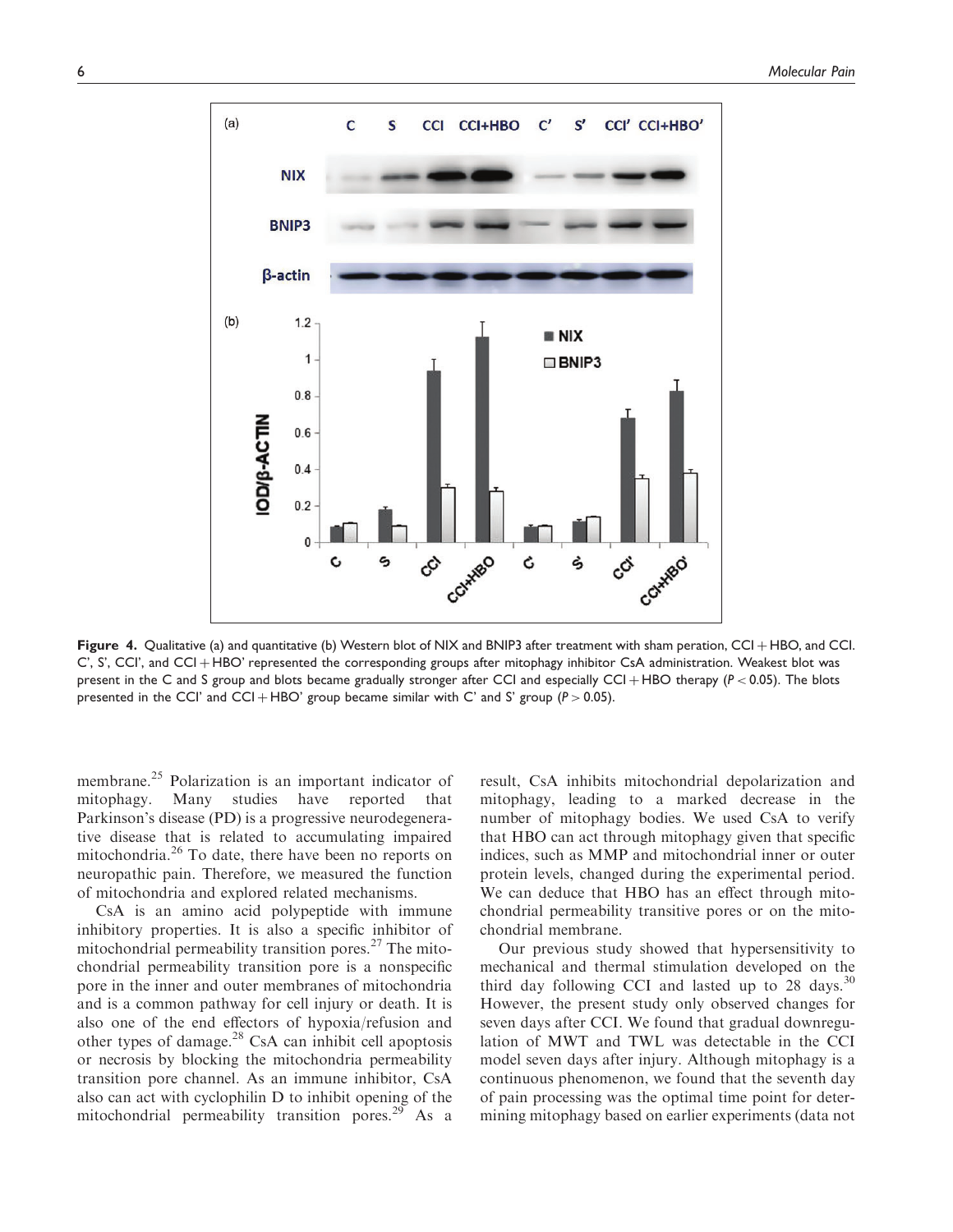

Figure 4. Qualitative (a) and quantitative (b) Western blot of NIX and BNIP3 after treatment with sham peration, CCI + HBO, and CCI. C', S', CCI', and CCI + HBO' represented the corresponding groups after mitophagy inhibitor CsA administration. Weakest blot was present in the C and S group and blots became gradually stronger after CCI and especially CCI + HBO therapy ( $P < 0.05$ ). The blots presented in the CCI' and CCI + HBO' group became similar with C' and S' group ( $P > 0.05$ ).

membrane.<sup>25</sup> Polarization is an important indicator of mitophagy. Many studies have reported that Parkinson's disease (PD) is a progressive neurodegenerative disease that is related to accumulating impaired mitochondria.<sup>26</sup> To date, there have been no reports on neuropathic pain. Therefore, we measured the function of mitochondria and explored related mechanisms.

CsA is an amino acid polypeptide with immune inhibitory properties. It is also a specific inhibitor of mitochondrial permeability transition pores.<sup>27</sup> The mitochondrial permeability transition pore is a nonspecific pore in the inner and outer membranes of mitochondria and is a common pathway for cell injury or death. It is also one of the end effectors of hypoxia/refusion and other types of damage.<sup>28</sup> CsA can inhibit cell apoptosis or necrosis by blocking the mitochondria permeability transition pore channel. As an immune inhibitor, CsA also can act with cyclophilin D to inhibit opening of the mitochondrial permeability transition pores.<sup>29</sup> As a result, CsA inhibits mitochondrial depolarization and mitophagy, leading to a marked decrease in the number of mitophagy bodies. We used CsA to verify that HBO can act through mitophagy given that specific indices, such as MMP and mitochondrial inner or outer protein levels, changed during the experimental period. We can deduce that HBO has an effect through mitochondrial permeability transitive pores or on the mitochondrial membrane.

Our previous study showed that hypersensitivity to mechanical and thermal stimulation developed on the third day following CCI and lasted up to 28 days.<sup>30</sup> However, the present study only observed changes for seven days after CCI. We found that gradual downregulation of MWT and TWL was detectable in the CCI model seven days after injury. Although mitophagy is a continuous phenomenon, we found that the seventh day of pain processing was the optimal time point for determining mitophagy based on earlier experiments (data not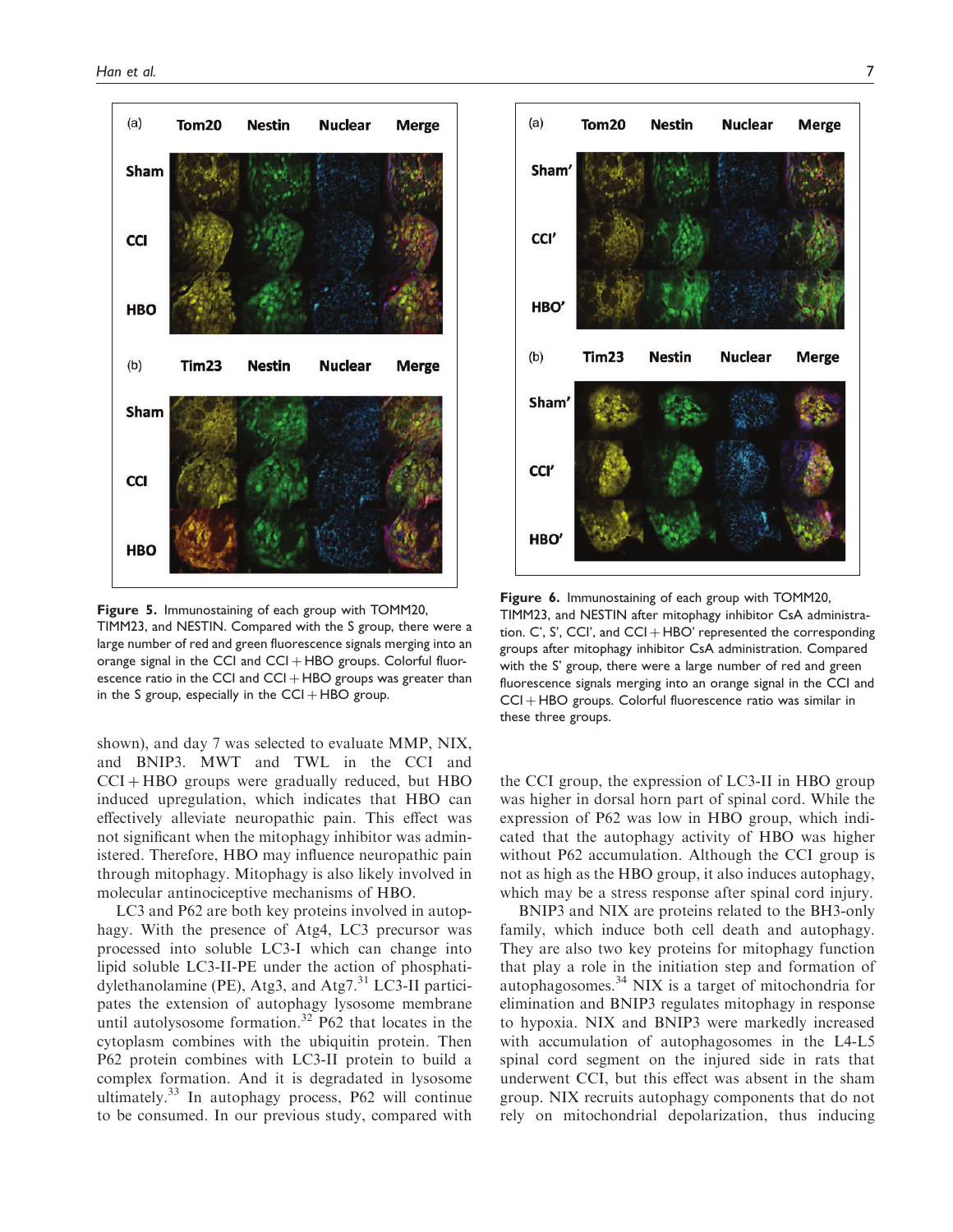

Figure 5. Immunostaining of each group with TOMM20, TIMM23, and NESTIN. Compared with the S group, there were a large number of red and green fluorescence signals merging into an orange signal in the CCI and  $CCI + HBO$  groups. Colorful fluorescence ratio in the CCI and  $|CC| + HBO$  groups was greater than in the S group, especially in the  $CCI + HBO$  group.

shown), and day 7 was selected to evaluate MMP, NIX, and BNIP3. MWT and TWL in the CCI and  $CCI + HBO$  groups were gradually reduced, but HBO induced upregulation, which indicates that HBO can effectively alleviate neuropathic pain. This effect was not significant when the mitophagy inhibitor was administered. Therefore, HBO may influence neuropathic pain through mitophagy. Mitophagy is also likely involved in molecular antinociceptive mechanisms of HBO.

LC3 and P62 are both key proteins involved in autophagy. With the presence of Atg4, LC3 precursor was processed into soluble LC3-I which can change into lipid soluble LC3-II-PE under the action of phosphatidylethanolamine (PE), Atg3, and Atg7. $31$  LC3-II participates the extension of autophagy lysosome membrane until autolysosome formation.<sup>32</sup> P62 that locates in the cytoplasm combines with the ubiquitin protein. Then P62 protein combines with LC3-II protein to build a complex formation. And it is degradated in lysosome ultimately.<sup>33</sup> In autophagy process, P62 will continue to be consumed. In our previous study, compared with



Figure 6. Immunostaining of each group with TOMM20, TIMM23, and NESTIN after mitophagy inhibitor CsA administration. C', S', CCI', and CCI  $+$  HBO' represented the corresponding groups after mitophagy inhibitor CsA administration. Compared with the S' group, there were a large number of red and green fluorescence signals merging into an orange signal in the CCI and  $CCI + HBO$  groups. Colorful fluorescence ratio was similar in these three groups.

the CCI group, the expression of LC3-II in HBO group was higher in dorsal horn part of spinal cord. While the expression of P62 was low in HBO group, which indicated that the autophagy activity of HBO was higher without P62 accumulation. Although the CCI group is not as high as the HBO group, it also induces autophagy, which may be a stress response after spinal cord injury.

BNIP3 and NIX are proteins related to the BH3-only family, which induce both cell death and autophagy. They are also two key proteins for mitophagy function that play a role in the initiation step and formation of autophagosomes.<sup>34</sup> NIX is a target of mitochondria for elimination and BNIP3 regulates mitophagy in response to hypoxia. NIX and BNIP3 were markedly increased with accumulation of autophagosomes in the L4-L5 spinal cord segment on the injured side in rats that underwent CCI, but this effect was absent in the sham group. NIX recruits autophagy components that do not rely on mitochondrial depolarization, thus inducing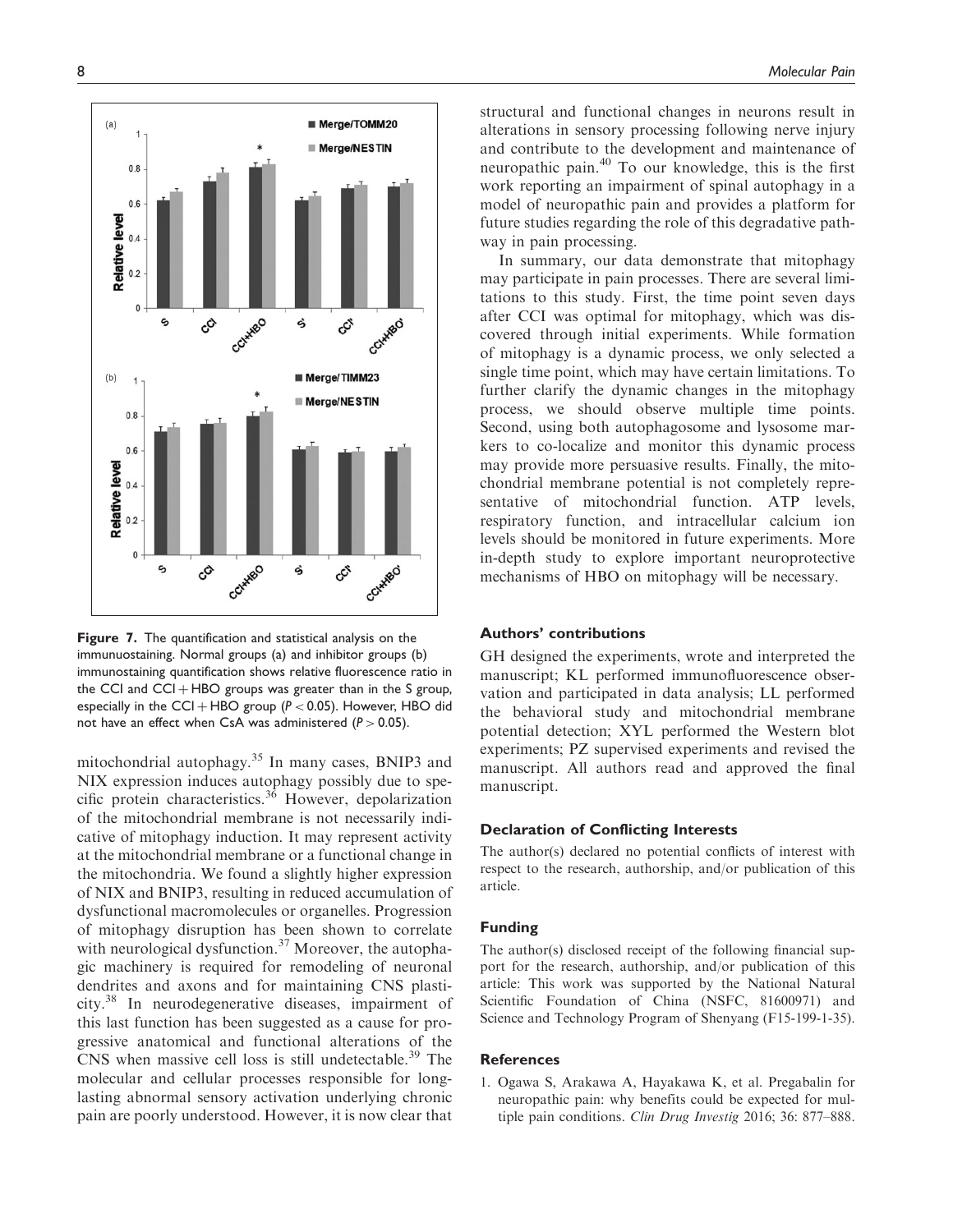

Figure 7. The quantification and statistical analysis on the immunuostaining. Normal groups (a) and inhibitor groups (b) immunostaining quantification shows relative fluorescence ratio in the CCI and CCI  $+$  HBO groups was greater than in the S group, especially in the CCI + HBO group ( $P < 0.05$ ). However, HBO did not have an effect when CsA was administered  $(P > 0.05)$ .

mitochondrial autophagy.<sup>35</sup> In many cases, BNIP3 and NIX expression induces autophagy possibly due to specific protein characteristics.<sup>36</sup> However, depolarization of the mitochondrial membrane is not necessarily indicative of mitophagy induction. It may represent activity at the mitochondrial membrane or a functional change in the mitochondria. We found a slightly higher expression of NIX and BNIP3, resulting in reduced accumulation of dysfunctional macromolecules or organelles. Progression of mitophagy disruption has been shown to correlate with neurological dysfunction.<sup>37</sup> Moreover, the autophagic machinery is required for remodeling of neuronal dendrites and axons and for maintaining CNS plasticity.38 In neurodegenerative diseases, impairment of this last function has been suggested as a cause for progressive anatomical and functional alterations of the CNS when massive cell loss is still undetectable.<sup>39</sup> The molecular and cellular processes responsible for longlasting abnormal sensory activation underlying chronic pain are poorly understood. However, it is now clear that structural and functional changes in neurons result in alterations in sensory processing following nerve injury and contribute to the development and maintenance of neuropathic pain.<sup>40</sup> To our knowledge, this is the first work reporting an impairment of spinal autophagy in a model of neuropathic pain and provides a platform for future studies regarding the role of this degradative pathway in pain processing.

In summary, our data demonstrate that mitophagy may participate in pain processes. There are several limitations to this study. First, the time point seven days after CCI was optimal for mitophagy, which was discovered through initial experiments. While formation of mitophagy is a dynamic process, we only selected a single time point, which may have certain limitations. To further clarify the dynamic changes in the mitophagy process, we should observe multiple time points. Second, using both autophagosome and lysosome markers to co-localize and monitor this dynamic process may provide more persuasive results. Finally, the mitochondrial membrane potential is not completely representative of mitochondrial function. ATP levels, respiratory function, and intracellular calcium ion levels should be monitored in future experiments. More in-depth study to explore important neuroprotective mechanisms of HBO on mitophagy will be necessary.

#### Authors' contributions

GH designed the experiments, wrote and interpreted the manuscript; KL performed immunofluorescence observation and participated in data analysis; LL performed the behavioral study and mitochondrial membrane potential detection; XYL performed the Western blot experiments; PZ supervised experiments and revised the manuscript. All authors read and approved the final manuscript.

## Declaration of Conflicting Interests

The author(s) declared no potential conflicts of interest with respect to the research, authorship, and/or publication of this article.

#### Funding

The author(s) disclosed receipt of the following financial support for the research, authorship, and/or publication of this article: This work was supported by the National Natural Scientific Foundation of China (NSFC, 81600971) and Science and Technology Program of Shenyang (F15-199-1-35).

#### **References**

1. Ogawa S, Arakawa A, Hayakawa K, et al. Pregabalin for neuropathic pain: why benefits could be expected for multiple pain conditions. Clin Drug Investig 2016; 36: 877–888.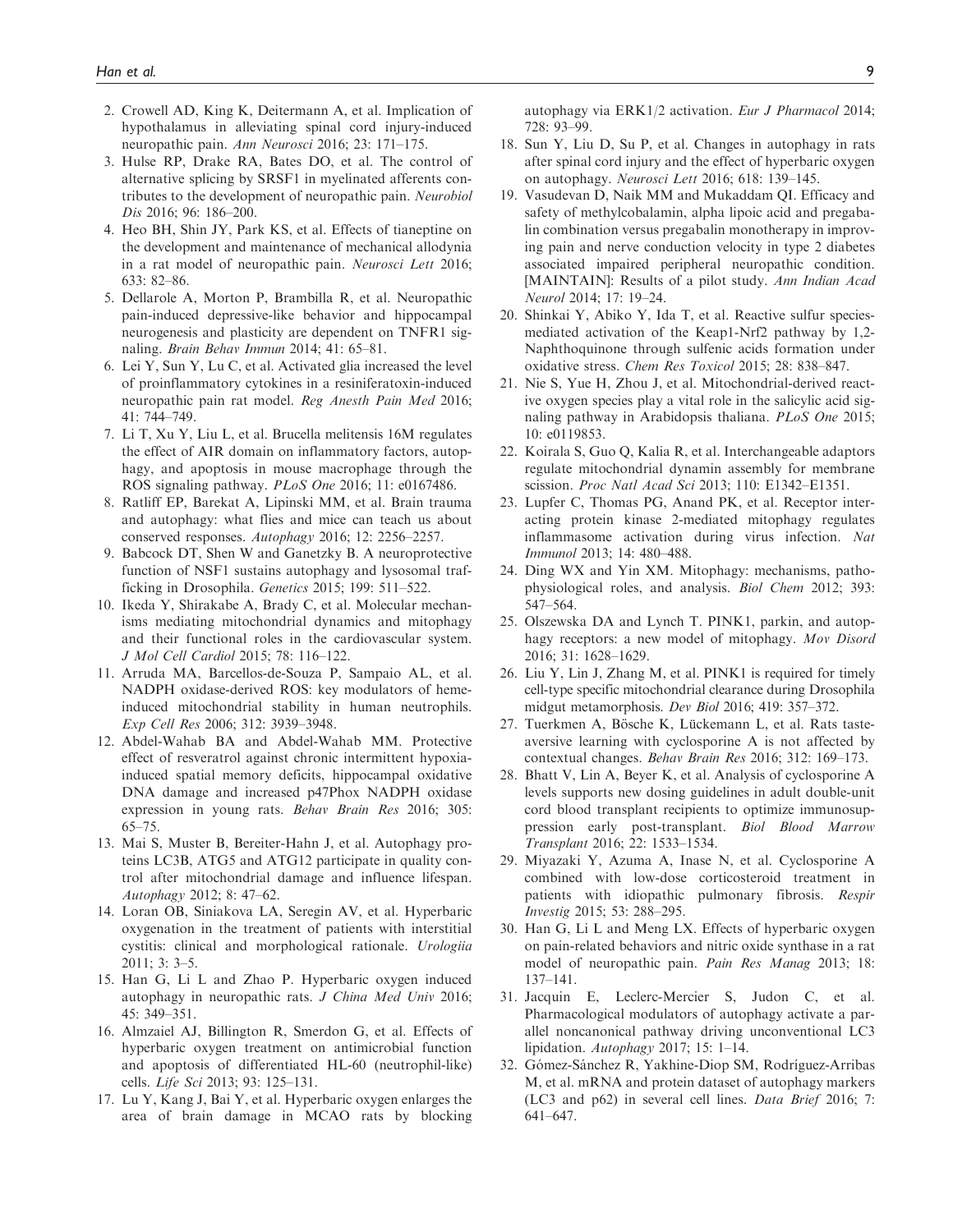- 2. Crowell AD, King K, Deitermann A, et al. Implication of hypothalamus in alleviating spinal cord injury-induced neuropathic pain. Ann Neurosci 2016; 23: 171–175.
- 3. Hulse RP, Drake RA, Bates DO, et al. The control of alternative splicing by SRSF1 in myelinated afferents contributes to the development of neuropathic pain. Neurobiol Dis 2016; 96: 186–200.
- 4. Heo BH, Shin JY, Park KS, et al. Effects of tianeptine on the development and maintenance of mechanical allodynia in a rat model of neuropathic pain. Neurosci Lett 2016; 633: 82–86.
- 5. Dellarole A, Morton P, Brambilla R, et al. Neuropathic pain-induced depressive-like behavior and hippocampal neurogenesis and plasticity are dependent on TNFR1 signaling. Brain Behav Immun 2014; 41: 65–81.
- 6. Lei Y, Sun Y, Lu C, et al. Activated glia increased the level of proinflammatory cytokines in a resiniferatoxin-induced neuropathic pain rat model. Reg Anesth Pain Med 2016; 41: 744–749.
- 7. Li T, Xu Y, Liu L, et al. Brucella melitensis 16M regulates the effect of AIR domain on inflammatory factors, autophagy, and apoptosis in mouse macrophage through the ROS signaling pathway. PLoS One 2016; 11: e0167486.
- 8. Ratliff EP, Barekat A, Lipinski MM, et al. Brain trauma and autophagy: what flies and mice can teach us about conserved responses. Autophagy 2016; 12: 2256–2257.
- 9. Babcock DT, Shen W and Ganetzky B. A neuroprotective function of NSF1 sustains autophagy and lysosomal trafficking in Drosophila. Genetics 2015; 199: 511–522.
- 10. Ikeda Y, Shirakabe A, Brady C, et al. Molecular mechanisms mediating mitochondrial dynamics and mitophagy and their functional roles in the cardiovascular system. J Mol Cell Cardiol 2015; 78: 116–122.
- 11. Arruda MA, Barcellos-de-Souza P, Sampaio AL, et al. NADPH oxidase-derived ROS: key modulators of hemeinduced mitochondrial stability in human neutrophils. Exp Cell Res 2006; 312: 3939–3948.
- 12. Abdel-Wahab BA and Abdel-Wahab MM. Protective effect of resveratrol against chronic intermittent hypoxiainduced spatial memory deficits, hippocampal oxidative DNA damage and increased p47Phox NADPH oxidase expression in young rats. Behav Brain Res 2016; 305: 65–75.
- 13. Mai S, Muster B, Bereiter-Hahn J, et al. Autophagy proteins LC3B, ATG5 and ATG12 participate in quality control after mitochondrial damage and influence lifespan. Autophagy 2012; 8: 47–62.
- 14. Loran OB, Siniakova LA, Seregin AV, et al. Hyperbaric oxygenation in the treatment of patients with interstitial cystitis: clinical and morphological rationale. Urologiia 2011; 3: 3–5.
- 15. Han G, Li L and Zhao P. Hyperbaric oxygen induced autophagy in neuropathic rats. J China Med Univ 2016; 45: 349–351.
- 16. Almzaiel AJ, Billington R, Smerdon G, et al. Effects of hyperbaric oxygen treatment on antimicrobial function and apoptosis of differentiated HL-60 (neutrophil-like) cells. Life Sci 2013; 93: 125–131.
- 17. Lu Y, Kang J, Bai Y, et al. Hyperbaric oxygen enlarges the area of brain damage in MCAO rats by blocking

autophagy via ERK1/2 activation. Eur J Pharmacol 2014; 728: 93–99.

- 18. Sun Y, Liu D, Su P, et al. Changes in autophagy in rats after spinal cord injury and the effect of hyperbaric oxygen on autophagy. Neurosci Lett 2016; 618: 139–145.
- 19. Vasudevan D, Naik MM and Mukaddam QI. Efficacy and safety of methylcobalamin, alpha lipoic acid and pregabalin combination versus pregabalin monotherapy in improving pain and nerve conduction velocity in type 2 diabetes associated impaired peripheral neuropathic condition. [MAINTAIN]: Results of a pilot study. Ann Indian Acad Neurol 2014; 17: 19–24.
- 20. Shinkai Y, Abiko Y, Ida T, et al. Reactive sulfur speciesmediated activation of the Keap1-Nrf2 pathway by 1,2- Naphthoquinone through sulfenic acids formation under oxidative stress. Chem Res Toxicol 2015; 28: 838–847.
- 21. Nie S, Yue H, Zhou J, et al. Mitochondrial-derived reactive oxygen species play a vital role in the salicylic acid signaling pathway in Arabidopsis thaliana. PLoS One 2015; 10: e0119853.
- 22. Koirala S, Guo Q, Kalia R, et al. Interchangeable adaptors regulate mitochondrial dynamin assembly for membrane scission. Proc Natl Acad Sci 2013; 110: E1342–E1351.
- 23. Lupfer C, Thomas PG, Anand PK, et al. Receptor interacting protein kinase 2-mediated mitophagy regulates inflammasome activation during virus infection. Nat Immunol 2013; 14: 480–488.
- 24. Ding WX and Yin XM. Mitophagy: mechanisms, pathophysiological roles, and analysis. Biol Chem 2012; 393: 547–564.
- 25. Olszewska DA and Lynch T. PINK1, parkin, and autophagy receptors: a new model of mitophagy. Mov Disord 2016; 31: 1628–1629.
- 26. Liu Y, Lin J, Zhang M, et al. PINK1 is required for timely cell-type specific mitochondrial clearance during Drosophila midgut metamorphosis. Dev Biol 2016; 419: 357–372.
- 27. Tuerkmen A, Bösche K, Lückemann L, et al. Rats tasteaversive learning with cyclosporine A is not affected by contextual changes. Behav Brain Res 2016; 312: 169–173.
- 28. Bhatt V, Lin A, Beyer K, et al. Analysis of cyclosporine A levels supports new dosing guidelines in adult double-unit cord blood transplant recipients to optimize immunosuppression early post-transplant. Biol Blood Marrow Transplant 2016; 22: 1533–1534.
- 29. Miyazaki Y, Azuma A, Inase N, et al. Cyclosporine A combined with low-dose corticosteroid treatment in patients with idiopathic pulmonary fibrosis. Respir Investig 2015; 53: 288–295.
- 30. Han G, Li L and Meng LX. Effects of hyperbaric oxygen on pain-related behaviors and nitric oxide synthase in a rat model of neuropathic pain. Pain Res Manag 2013; 18: 137–141.
- 31. Jacquin E, Leclerc-Mercier S, Judon C, et al. Pharmacological modulators of autophagy activate a parallel noncanonical pathway driving unconventional LC3 lipidation. Autophagy 2017; 15: 1–14.
- 32. Gómez-Sánchez R, Yakhine-Diop SM, Rodríguez-Arribas M, et al. mRNA and protein dataset of autophagy markers (LC3 and p62) in several cell lines. Data Brief 2016; 7: 641–647.